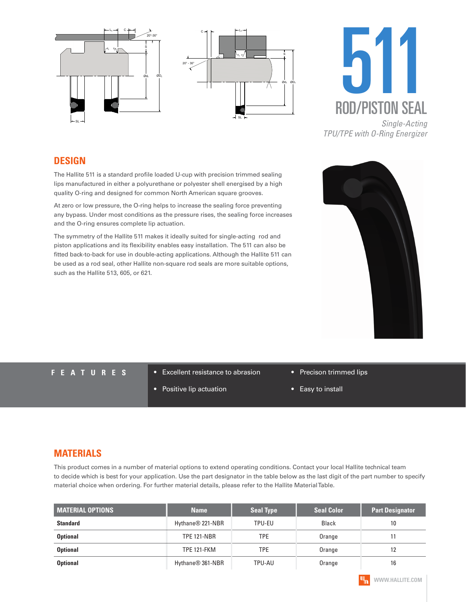





#### **DESIGN**

The Hallite 511 is a standard profile loaded U-cup with precision trimmed sealing lips manufactured in either a polyurethane or polyester shell energised by a high quality O-ring and designed for common North American square grooves.

At zero or low pressure, the O-ring helps to increase the sealing force preventing any bypass. Under most conditions as the pressure rises, the sealing force increases and the O-ring ensures complete lip actuation.

The symmetry of the Hallite 511 makes it ideally suited for single-acting rod and piston applications and its flexibility enables easy installation. The 511 can also be fitted back-to-back for use in double-acting applications. Although the Hallite 511 can be used as a rod seal, other Hallite non-square rod seals are more suitable options, such as the Hallite 513, 605, or 621.



- **FEATURES** Excellent resistance to abrasion
	- Positive lip actuation
- Precison trimmed lips
- Easy to install

#### **MATERIALS**

This product comes in a number of material options to extend operating conditions. Contact your local Hallite technical team to decide which is best for your application. Use the part designator in the table below as the last digit of the part number to specify material choice when ordering. For further material details, please refer to the Hallite Material Table.

| <b>MATERIAL OPTIONS</b> | <b>Name</b>                  | <b>Seal Type</b> | <b>Seal Color</b> | <b>Part Designator</b> |
|-------------------------|------------------------------|------------------|-------------------|------------------------|
| <b>Standard</b>         | Hythane <sup>®</sup> 221-NBR | TPU-EU           | Black             | 10                     |
| <b>Optional</b>         | <b>TPE 121-NBR</b>           | TPE              | Orange            |                        |
| <b>Optional</b>         | <b>TPE 121-FKM</b>           | TPE              | Orange            | 12                     |
| <b>Optional</b>         | Hythane <sup>®</sup> 361-NBR | TPU-AU           | Orange            | 16                     |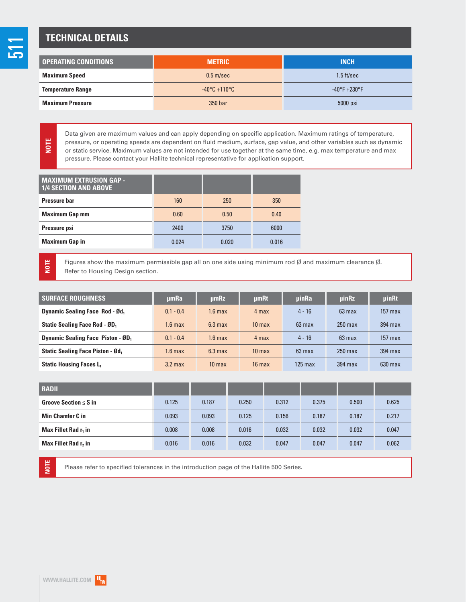## **TECHNICAL DETAILS**

<u>LC</u>

**NOTE**

**NOTE**

| I OPERATING CONDITIONS   | <b>METRIC</b>                   | <b>INCH</b>                   |
|--------------------------|---------------------------------|-------------------------------|
| <b>Maximum Speed</b>     | 0.5 <sub>m</sub> /sec           | $1.5$ ft/sec                  |
| <b>Temperature Range</b> | $-40\degree$ C +110 $\degree$ C | $-40^{\circ}F + 230^{\circ}F$ |
| <b>Maximum Pressure</b>  | 350 bar                         | 5000 psi                      |

Data given are maximum values and can apply depending on specific application. Maximum ratings of temperature, pressure, or operating speeds are dependent on fluid medium, surface, gap value, and other variables such as dynamic or static service. Maximum values are not intended for use together at the same time, e.g. max temperature and max pressure. Please contact your Hallite technical representative for application support.

| <b>MAXIMUM EXTRUSION GAP -</b><br><b>1/4 SECTION AND ABOVE</b> |       |       |       |
|----------------------------------------------------------------|-------|-------|-------|
| <b>Pressure bar</b>                                            | 160   | 250   | 350   |
| <b>Maximum Gap mm</b>                                          | 0.60  | 0.50  | 0.40  |
| Pressure psi                                                   | 2400  | 3750  | 6000  |
| <b>Maximum Gap in</b>                                          | 0.024 | 0.020 | 0.016 |

Figures show the maximum permissible gap all on one side using minimum rod Ø and maximum clearance Ø. Refer to Housing Design section.

| <b>SURFACE ROUGHNESS</b>                | umRa        | µmRz               | umRt              | <b>uinRa</b>     | <b>uinRz</b>     | <b>uinRt</b> |
|-----------------------------------------|-------------|--------------------|-------------------|------------------|------------------|--------------|
| <b>Dynamic Sealing Face Rod - Ød.</b>   | $0.1 - 0.4$ | $1.6$ max          | 4 max             | $4 - 16$         | $63 \text{ max}$ | $157$ max    |
| <b>Static Sealing Face Rod - ØD</b>     | $1.6$ max   | 6.3 <sub>max</sub> | 10 <sub>max</sub> | $63 \text{ max}$ | $250$ max        | 394 max      |
| <b>Dynamic Sealing Face Piston - ØD</b> | $0.1 - 0.4$ | $1.6$ max          | 4 max             | $4 - 16$         | $63 \text{ max}$ | $157$ max    |
| <b>Static Sealing Face Piston - Ød.</b> | $1.6$ max   | 6.3 <sub>max</sub> | 10 <sub>max</sub> | $63$ max         | $250$ max        | 394 max      |
| <b>Static Housing Faces L.</b>          | $3.2$ max   | 10 <sub>max</sub>  | $16$ max          | $125$ max        | 394 max          | $630$ max    |

| <b>RADII</b>                     |       |       |       |       |       |       |       |
|----------------------------------|-------|-------|-------|-------|-------|-------|-------|
| Groove Section $\leq$ S in       | 0.125 | 0.187 | 0.250 | 0.312 | 0.375 | 0.500 | 0.625 |
| <b>Min Chamfer C in</b>          | 0.093 | 0.093 | 0.125 | 0.156 | 0.187 | 0.187 | 0.217 |
| Max Fillet Rad r <sub>1</sub> in | 0.008 | 0.008 | 0.016 | 0.032 | 0.032 | 0.032 | 0.047 |
| Max Fillet Rad r, in             | 0.016 | 0.016 | 0.032 | 0.047 | 0.047 | 0.047 | 0.062 |

**NOTE**

Please refer to specified tolerances in the introduction page of the Hallite 500 Series.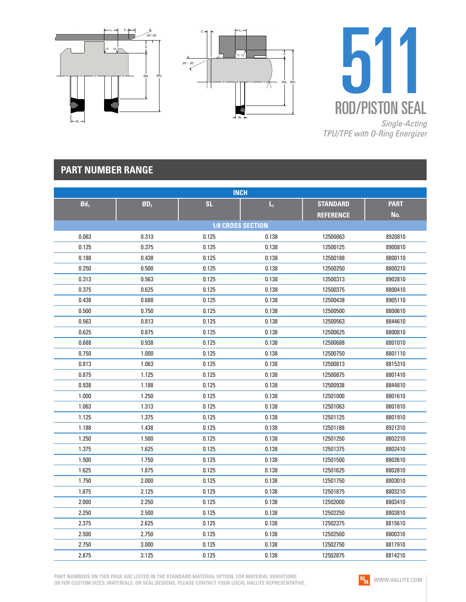





## **PART NUMBER RANGE**

| <b>INCH</b>              |                             |                          |       |                  |             |  |  |
|--------------------------|-----------------------------|--------------------------|-------|------------------|-------------|--|--|
| $\mathbf{0}\mathbf{d}_1$ | $\mathbf{g}_{\mathbf{D}_1}$ | <b>SL</b>                | L,    | <b>STANDARD</b>  | <b>PART</b> |  |  |
|                          |                             |                          |       | <b>REFERENCE</b> | No.         |  |  |
|                          |                             | <b>1/8 CROSS SECTION</b> |       |                  |             |  |  |
| 0.063                    | 0.313                       | 0.125                    | 0.138 | 12500063         | 8920810     |  |  |
| 0.125                    | 0.375                       | 0.125                    | 0.138 | 12500125         | 8900810     |  |  |
| 0.188                    | 0.438                       | 0.125                    | 0.138 | 12500188         | 8800110     |  |  |
| 0.250                    | 0.500                       | 0.125                    | 0.138 | 12500250         | 8800210     |  |  |
| 0.313                    | 0.563                       | 0.125                    | 0.138 | 12500313         | 8902810     |  |  |
| 0.375                    | 0.625                       | 0.125                    | 0.138 | 12500375         | 8800410     |  |  |
| 0.438                    | 0.688                       | 0.125                    | 0.138 | 12500438         | 8905110     |  |  |
| 0.500                    | 0.750                       | 0.125                    | 0.138 | 12500500         | 8800610     |  |  |
| 0.563                    | 0.813                       | 0.125                    | 0.138 | 12500563         | 8844610     |  |  |
| 0.625                    | 0.875                       | 0.125                    | 0.138 | 12500625         | 8800810     |  |  |
| 0.688                    | 0.938                       | 0.125                    | 0.138 | 12500688         | 8801010     |  |  |
| 0.750                    | 1.000                       | 0.125                    | 0.138 | 12500750         | 8801110     |  |  |
| 0.813                    | 1.063                       | 0.125                    | 0.138 | 12500813         | 8815310     |  |  |
| 0.875                    | 1.125                       | 0.125                    | 0.138 | 12500875         | 8801410     |  |  |
| 0.938                    | 1.188                       | 0.125                    | 0.138 | 12500938         | 8844810     |  |  |
| 1.000                    | 1.250                       | 0.125                    | 0.138 | 12501000         | 8801610     |  |  |
| 1.063                    | 1.313                       | 0.125                    | 0.138 | 12501063         | 8801810     |  |  |
| 1.125                    | 1.375                       | 0.125                    | 0.138 | 12501125         | 8801910     |  |  |
| 1.188                    | 1.438                       | 0.125                    | 0.138 | 12501188         | 8921310     |  |  |
| 1.250                    | 1.500                       | 0.125                    | 0.138 | 12501250         | 8802210     |  |  |
| 1.375                    | 1.625                       | 0.125                    | 0.138 | 12501375         | 8802410     |  |  |
| 1.500                    | 1.750                       | 0.125                    | 0.138 | 12501500         | 8802610     |  |  |
| 1.625                    | 1.875                       | 0.125                    | 0.138 | 12501625         | 8802810     |  |  |
| 1.750                    | 2.000                       | 0.125                    | 0.138 | 12501750         | 8803010     |  |  |
| 1.875                    | 2.125                       | 0.125                    | 0.138 | 12501875         | 8803210     |  |  |
| 2.000                    | 2.250                       | 0.125                    | 0.138 | 12502000         | 8803410     |  |  |
| 2.250                    | 2.500                       | 0.125                    | 0.138 | 12502250         | 8803810     |  |  |
| 2.375                    | 2.625                       | 0.125                    | 0.138 | 12502375         | 8815610     |  |  |
| 2.500                    | 2.750                       | 0.125                    | 0.138 | 12502500         | 8800310     |  |  |
| 2.750                    | 3.000                       | 0.125                    | 0.138 | 12502750         | 8817910     |  |  |
| 2.875                    | 3.125                       | 0.125                    | 0.138 | 12502875         | 8814210     |  |  |

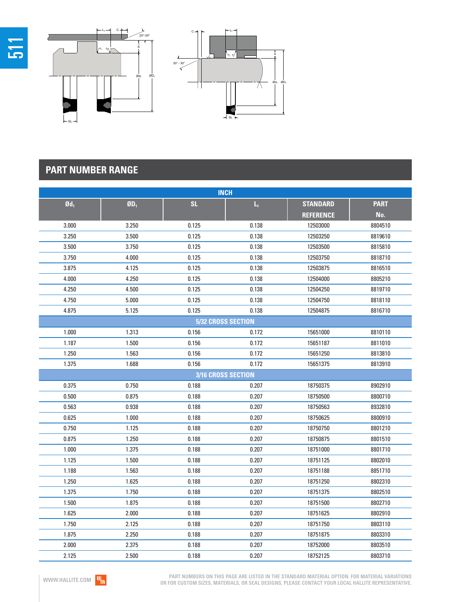

| <b>INCH</b>       |                          |                    |       |                  |             |  |  |
|-------------------|--------------------------|--------------------|-------|------------------|-------------|--|--|
| $\mathfrak{gd}_1$ | $\mathbf{0}\mathbf{D}_1$ | <b>SL</b>          | L,    | <b>STANDARD</b>  | <b>PART</b> |  |  |
|                   |                          |                    |       | <b>REFERENCE</b> | No.         |  |  |
| 3.000             | 3.250                    | 0.125              | 0.138 | 12503000         | 8804510     |  |  |
| 3.250             | 3.500                    | 0.125              | 0.138 | 12503250         | 8819610     |  |  |
| 3.500             | 3.750                    | 0.125              | 0.138 | 12503500         | 8815810     |  |  |
| 3.750             | 4.000                    | 0.125              | 0.138 | 12503750         | 8818710     |  |  |
| 3.875             | 4.125                    | 0.125              | 0.138 | 12503875         | 8816510     |  |  |
| 4.000             | 4.250                    | 0.125              | 0.138 | 12504000         | 8805210     |  |  |
| 4.250             | 4.500                    | 0.125              | 0.138 | 12504250         | 8819710     |  |  |
| 4.750             | 5.000                    | 0.125              | 0.138 | 12504750         | 8818110     |  |  |
| 4.875             | 5.125                    | 0.125              | 0.138 | 12504875         | 8816710     |  |  |
|                   |                          | 5/32 CROSS SECTION |       |                  |             |  |  |
| 1.000             | 1.313                    | 0.156              | 0.172 | 15651000         | 8810110     |  |  |
| 1.187             | 1.500                    | 0.156              | 0.172 | 15651187         | 8811010     |  |  |
| 1.250             | 1.563                    | 0.156              | 0.172 | 15651250         | 8813810     |  |  |
| 1.375             | 1.688                    | 0.156              | 0.172 | 15651375         | 8813910     |  |  |
|                   |                          | 3/16 CROSS SECTION |       |                  |             |  |  |
| 0.375             | 0.750                    | 0.188              | 0.207 | 18750375         | 8902910     |  |  |
| 0.500             | 0.875                    | 0.188              | 0.207 | 18750500         | 8800710     |  |  |
| 0.563             | 0.938                    | 0.188              | 0.207 | 18750563         | 8932810     |  |  |
| 0.625             | 1.000                    | 0.188              | 0.207 | 18750625         | 8800910     |  |  |
| 0.750             | 1.125                    | 0.188              | 0.207 | 18750750         | 8801210     |  |  |
| 0.875             | 1.250                    | 0.188              | 0.207 | 18750875         | 8801510     |  |  |
| 1.000             | 1.375                    | 0.188              | 0.207 | 18751000         | 8801710     |  |  |
| 1.125             | 1.500                    | 0.188              | 0.207 | 18751125         | 8802010     |  |  |
| 1.188             | 1.563                    | 0.188              | 0.207 | 18751188         | 8851710     |  |  |
| 1.250             | 1.625                    | 0.188              | 0.207 | 18751250         | 8802310     |  |  |
| 1.375             | 1.750                    | 0.188              | 0.207 | 18751375         | 8802510     |  |  |
| 1.500             | 1.875                    | 0.188              | 0.207 | 18751500         | 8802710     |  |  |
| 1.625             | 2.000                    | 0.188              | 0.207 | 18751625         | 8802910     |  |  |
| 1.750             | 2.125                    | 0.188              | 0.207 | 18751750         | 8803110     |  |  |
| 1.875             | 2.250                    | 0.188              | 0.207 | 18751875         | 8803310     |  |  |
| 2.000             | 2.375                    | 0.188              | 0.207 | 18752000         | 8803510     |  |  |
| 2.125             | 2.500                    | 0.188              | 0.207 | 18752125         | 8803710     |  |  |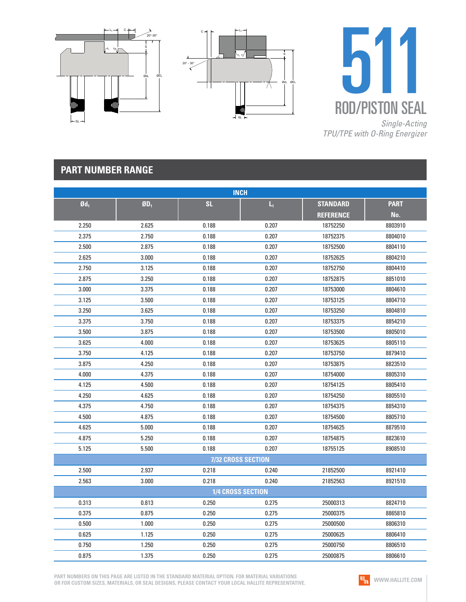





## **PART NUMBER RANGE**

| <b>INCH</b>       |         |                   |                    |                  |             |  |  |
|-------------------|---------|-------------------|--------------------|------------------|-------------|--|--|
| $\mathfrak{gd}_1$ | $$D_1$$ | <b>SL</b>         | Ц                  | <b>STANDARD</b>  | <b>PART</b> |  |  |
|                   |         |                   |                    | <b>REFERENCE</b> | No.         |  |  |
| 2.250             | 2.625   | 0.188             | 0.207              | 18752250         | 8803910     |  |  |
| 2.375             | 2.750   | 0.188             | 0.207              | 18752375         | 8804010     |  |  |
| 2.500             | 2.875   | 0.188             | 0.207              | 18752500         | 8804110     |  |  |
| 2.625             | 3.000   | 0.188             | 0.207              | 18752625         | 8804210     |  |  |
| 2.750             | 3.125   | 0.188             | 0.207              | 18752750         | 8804410     |  |  |
| 2.875             | 3.250   | 0.188             | 0.207              | 18752875         | 8851010     |  |  |
| 3.000             | 3.375   | 0.188             | 0.207              | 18753000         | 8804610     |  |  |
| 3.125             | 3.500   | 0.188             | 0.207              | 18753125         | 8804710     |  |  |
| 3.250             | 3.625   | 0.188             | 0.207              | 18753250         | 8804810     |  |  |
| 3.375             | 3.750   | 0.188             | 0.207              | 18753375         | 8854210     |  |  |
| 3.500             | 3.875   | 0.188             | 0.207              | 18753500         | 8805010     |  |  |
| 3.625             | 4.000   | 0.188             | 0.207              | 18753625         | 8805110     |  |  |
| 3.750             | 4.125   | 0.188             | 0.207              | 18753750         | 8879410     |  |  |
| 3.875             | 4.250   | 0.188             | 0.207              | 18753875         | 8823510     |  |  |
| 4.000             | 4.375   | 0.188             | 0.207              | 18754000         | 8805310     |  |  |
| 4.125             | 4.500   | 0.188             | 0.207              | 18754125         | 8805410     |  |  |
| 4.250             | 4.625   | 0.188             | 0.207              | 18754250         | 8805510     |  |  |
| 4.375             | 4.750   | 0.188             | 0.207              | 18754375         | 8854310     |  |  |
| 4.500             | 4.875   | 0.188             | 0.207              | 18754500         | 8805710     |  |  |
| 4.625             | 5.000   | 0.188             | 0.207              | 18754625         | 8879510     |  |  |
| 4.875             | 5.250   | 0.188             | 0.207              | 18754875         | 8823610     |  |  |
| 5.125             | 5.500   | 0.188             | 0.207              | 18755125         | 8908510     |  |  |
|                   |         |                   | 7/32 CROSS SECTION |                  |             |  |  |
| 2.500             | 2.937   | 0.218             | 0.240              | 21852500         | 8921410     |  |  |
| 2.563             | 3.000   | 0.218             | 0.240              | 21852563         | 8921510     |  |  |
|                   |         | 1/4 CROSS SECTION |                    |                  |             |  |  |
| 0.313             | 0.813   | 0.250             | 0.275              | 25000313         | 8824710     |  |  |
| 0.375             | 0.875   | 0.250             | 0.275              | 25000375         | 8865810     |  |  |
| 0.500             | 1.000   | 0.250             | 0.275              | 25000500         | 8806310     |  |  |
| 0.625             | 1.125   | 0.250             | 0.275              | 25000625         | 8806410     |  |  |
| 0.750             | 1.250   | 0.250             | 0.275              | 25000750         | 8806510     |  |  |
| 0.875             | 1.375   | 0.250             | 0.275              | 25000875         | 8806610     |  |  |

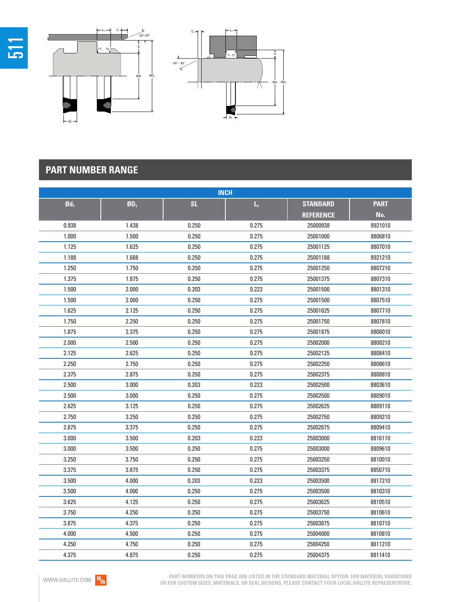

| <b>INCH</b>       |                             |           |       |                  |             |  |  |
|-------------------|-----------------------------|-----------|-------|------------------|-------------|--|--|
| $\mathfrak{gd}_1$ | $\mathbf{g}_{\mathbf{D}_1}$ | <b>SL</b> | L,    | <b>STANDARD</b>  | <b>PART</b> |  |  |
|                   |                             |           |       | <b>REFERENCE</b> | No.         |  |  |
| 0.938             | 1.438                       | 0.250     | 0.275 | 25000938         | 8921010     |  |  |
| 1.000             | 1.500                       | 0.250     | 0.275 | 25001000         | 8806810     |  |  |
| 1.125             | 1.625                       | 0.250     | 0.275 | 25001125         | 8807010     |  |  |
| 1.188             | 1.688                       | 0.250     | 0.275 | 25001188         | 8921210     |  |  |
| 1.250             | 1.750                       | 0.250     | 0.275 | 25001250         | 8807210     |  |  |
| 1.375             | 1.875                       | 0.250     | 0.275 | 25001375         | 8807310     |  |  |
| 1.500             | 2.000                       | 0.203     | 0.223 | 25001500         | 8801310     |  |  |
| 1.500             | 2.000                       | 0.250     | 0.275 | 25001500         | 8807510     |  |  |
| 1.625             | 2.125                       | 0.250     | 0.275 | 25001625         | 8807710     |  |  |
| 1.750             | 2.250                       | 0.250     | 0.275 | 25001750         | 8807810     |  |  |
| 1.875             | 2.375                       | 0.250     | 0.275 | 25001875         | 8808010     |  |  |
| 2.000             | 2.500                       | 0.250     | 0.275 | 25002000         | 8808210     |  |  |
| 2.125             | 2.625                       | 0.250     | 0.275 | 25002125         | 8808410     |  |  |
| 2.250             | 2.750                       | 0.250     | 0.275 | 25002250         | 8808610     |  |  |
| 2.375             | 2.875                       | 0.250     | 0.275 | 25002375         | 8808810     |  |  |
| 2.500             | 3.000                       | 0.203     | 0.223 | 25002500         | 8803610     |  |  |
| 2.500             | 3.000                       | 0.250     | 0.275 | 25002500         | 8809010     |  |  |
| 2.625             | 3.125                       | 0.250     | 0.275 | 25002625         | 8809110     |  |  |
| 2.750             | 3.250                       | 0.250     | 0.275 | 25002750         | 8809210     |  |  |
| 2.875             | 3.375                       | 0.250     | 0.275 | 25002875         | 8809410     |  |  |
| 3.000             | 3.500                       | 0.203     | 0.223 | 25003000         | 8816110     |  |  |
| 3.000             | 3.500                       | 0.250     | 0.275 | 25003000         | 8809610     |  |  |
| 3.250             | 3.750                       | 0.250     | 0.275 | 25003250         | 8810010     |  |  |
| 3.375             | 3.875                       | 0.250     | 0.275 | 25003375         | 8850710     |  |  |
| 3.500             | 4.000                       | 0.203     | 0.223 | 25003500         | 8817210     |  |  |
| 3.500             | 4.000                       | 0.250     | 0.275 | 25003500         | 8810310     |  |  |
| 3.625             | 4.125                       | 0.250     | 0.275 | 25003625         | 8810510     |  |  |
| 3.750             | 4.250                       | 0.250     | 0.275 | 25003750         | 8810610     |  |  |
| 3.875             | 4.375                       | 0.250     | 0.275 | 25003875         | 8810710     |  |  |
| 4.000             | 4.500                       | 0.250     | 0.275 | 25004000         | 8810810     |  |  |
| 4.250             | 4.750                       | 0.250     | 0.275 | 25004250         | 8811210     |  |  |
| 4.375             | 4.875                       | 0.250     | 0.275 | 25004375         | 8811410     |  |  |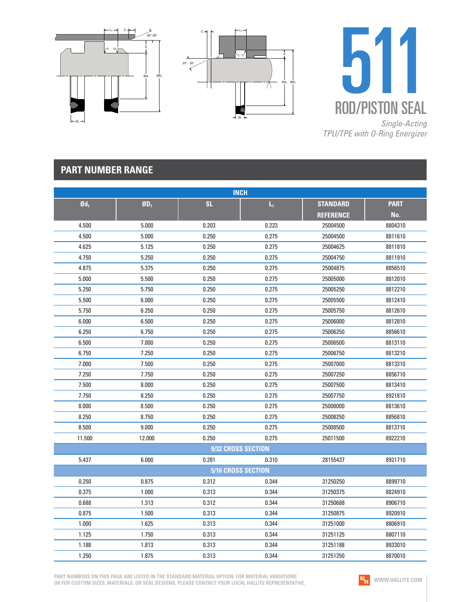





## **PART NUMBER RANGE**

| <b>INCH</b>       |                 |                           |       |                  |             |  |  |
|-------------------|-----------------|---------------------------|-------|------------------|-------------|--|--|
| $\mathfrak{gd}_1$ | ØD <sub>1</sub> | <b>SL</b>                 | L,    | <b>STANDARD</b>  | <b>PART</b> |  |  |
|                   |                 |                           |       | <b>REFERENCE</b> | No.         |  |  |
| 4.500             | 5.000           | 0.203                     | 0.223 | 25004500         | 8804310     |  |  |
| 4.500             | 5.000           | 0.250                     | 0.275 | 25004500         | 8811610     |  |  |
| 4.625             | 5.125           | 0.250                     | 0.275 | 25004625         | 8811810     |  |  |
| 4.750             | 5.250           | 0.250                     | 0.275 | 25004750         | 8811910     |  |  |
| 4.875             | 5.375           | 0.250                     | 0.275 | 25004875         | 8856510     |  |  |
| 5.000             | 5.500           | 0.250                     | 0.275 | 25005000         | 8812010     |  |  |
| 5.250             | 5.750           | 0.250                     | 0.275 | 25005250         | 8812210     |  |  |
| 5.500             | 6.000           | 0.250                     | 0.275 | 25005500         | 8812410     |  |  |
| 5.750             | 6.250           | 0.250                     | 0.275 | 25005750         | 8812610     |  |  |
| 6.000             | 6.500           | 0.250                     | 0.275 | 25006000         | 8812810     |  |  |
| 6.250             | 6.750           | 0.250                     | 0.275 | 25006250         | 8856610     |  |  |
| 6.500             | 7.000           | 0.250                     | 0.275 | 25006500         | 8813110     |  |  |
| 6.750             | 7.250           | 0.250                     | 0.275 | 25006750         | 8813210     |  |  |
| 7.000             | 7.500           | 0.250                     | 0.275 | 25007000         | 8813310     |  |  |
| 7.250             | 7.750           | 0.250                     | 0.275 | 25007250         | 8856710     |  |  |
| 7.500             | 8.000           | 0.250                     | 0.275 | 25007500         | 8813410     |  |  |
| 7.750             | 8.250           | 0.250                     | 0.275 | 25007750         | 8921810     |  |  |
| 8.000             | 8.500           | 0.250                     | 0.275 | 25008000         | 8813610     |  |  |
| 8.250             | 8.750           | 0.250                     | 0.275 | 25008250         | 8856810     |  |  |
| 8.500             | 9.000           | 0.250                     | 0.275 | 25008500         | 8813710     |  |  |
| 11.500            | 12.000          | 0.250                     | 0.275 | 25011500         | 8922210     |  |  |
|                   |                 | 9/32 CROSS SECTION        |       |                  |             |  |  |
| 5.437             | 6.000           | 0.281                     | 0.310 | 28155437         | 8921710     |  |  |
|                   |                 | <b>5/16 CROSS SECTION</b> |       |                  |             |  |  |
| 0.250             | 0.875           | 0.312                     | 0.344 | 31250250         | 8899710     |  |  |
| 0.375             | 1.000           | 0.313                     | 0.344 | 31250375         | 8824910     |  |  |
| 0.688             | 1.313           | 0.312                     | 0.344 | 31250688         | 8906710     |  |  |
| 0.875             | 1.500           | 0.313                     | 0.344 | 31250875         | 8920910     |  |  |
| 1.000             | 1.625           | 0.313                     | 0.344 | 31251000         | 8806910     |  |  |
| 1.125             | 1.750           | 0.313                     | 0.344 | 31251125         | 8807110     |  |  |
| 1.188             | 1.813           | 0.313                     | 0.344 | 31251188         | 8933010     |  |  |
| 1.250             | 1.875           | 0.313                     | 0.344 | 31251250         | 8870010     |  |  |

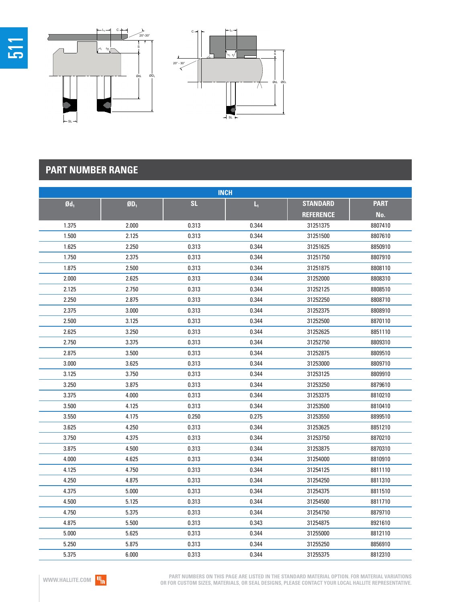

| <b>INCH</b>       |        |           |       |                  |             |  |  |
|-------------------|--------|-----------|-------|------------------|-------------|--|--|
| $\mathfrak{gd}_1$ | $ØD_1$ | <b>SL</b> | L,    | <b>STANDARD</b>  | <b>PART</b> |  |  |
|                   |        |           |       | <b>REFERENCE</b> | No.         |  |  |
| 1.375             | 2.000  | 0.313     | 0.344 | 31251375         | 8807410     |  |  |
| 1.500             | 2.125  | 0.313     | 0.344 | 31251500         | 8807610     |  |  |
| 1.625             | 2.250  | 0.313     | 0.344 | 31251625         | 8850910     |  |  |
| 1.750             | 2.375  | 0.313     | 0.344 | 31251750         | 8807910     |  |  |
| 1.875             | 2.500  | 0.313     | 0.344 | 31251875         | 8808110     |  |  |
| 2.000             | 2.625  | 0.313     | 0.344 | 31252000         | 8808310     |  |  |
| 2.125             | 2.750  | 0.313     | 0.344 | 31252125         | 8808510     |  |  |
| 2.250             | 2.875  | 0.313     | 0.344 | 31252250         | 8808710     |  |  |
| 2.375             | 3.000  | 0.313     | 0.344 | 31252375         | 8808910     |  |  |
| 2.500             | 3.125  | 0.313     | 0.344 | 31252500         | 8870110     |  |  |
| 2.625             | 3.250  | 0.313     | 0.344 | 31252625         | 8851110     |  |  |
| 2.750             | 3.375  | 0.313     | 0.344 | 31252750         | 8809310     |  |  |
| 2.875             | 3.500  | 0.313     | 0.344 | 31252875         | 8809510     |  |  |
| 3.000             | 3.625  | 0.313     | 0.344 | 31253000         | 8809710     |  |  |
| 3.125             | 3.750  | 0.313     | 0.344 | 31253125         | 8809910     |  |  |
| 3.250             | 3.875  | 0.313     | 0.344 | 31253250         | 8879610     |  |  |
| 3.375             | 4.000  | 0.313     | 0.344 | 31253375         | 8810210     |  |  |
| 3.500             | 4.125  | 0.313     | 0.344 | 31253500         | 8810410     |  |  |
| 3.550             | 4.175  | 0.250     | 0.275 | 31253550         | 8899510     |  |  |
| 3.625             | 4.250  | 0.313     | 0.344 | 31253625         | 8851210     |  |  |
| 3.750             | 4.375  | 0.313     | 0.344 | 31253750         | 8870210     |  |  |
| 3.875             | 4.500  | 0.313     | 0.344 | 31253875         | 8870310     |  |  |
| 4.000             | 4.625  | 0.313     | 0.344 | 31254000         | 8810910     |  |  |
| 4.125             | 4.750  | 0.313     | 0.344 | 31254125         | 8811110     |  |  |
| 4.250             | 4.875  | 0.313     | 0.344 | 31254250         | 8811310     |  |  |
| 4.375             | 5.000  | 0.313     | 0.344 | 31254375         | 8811510     |  |  |
| 4.500             | 5.125  | 0.313     | 0.344 | 31254500         | 8811710     |  |  |
| 4.750             | 5.375  | 0.313     | 0.344 | 31254750         | 8879710     |  |  |
| 4.875             | 5.500  | 0.313     | 0.343 | 31254875         | 8921610     |  |  |
| 5.000             | 5.625  | 0.313     | 0.344 | 31255000         | 8812110     |  |  |
| 5.250             | 5.875  | 0.313     | 0.344 | 31255250         | 8856910     |  |  |
| 5.375             | 6.000  | 0.313     | 0.344 | 31255375         | 8812310     |  |  |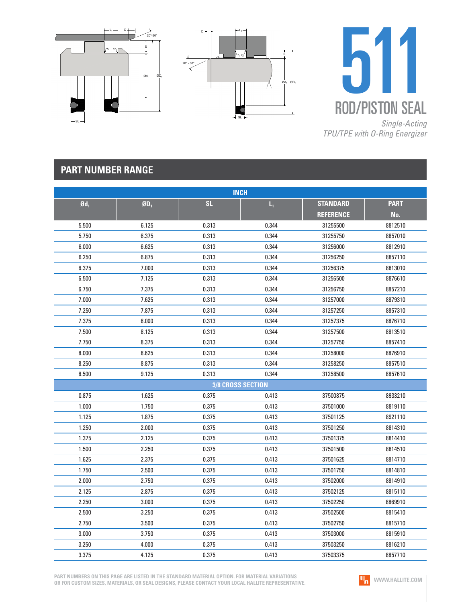





## **PART NUMBER RANGE**

| <b>INCH</b>       |        |                          |             |                  |             |  |  |
|-------------------|--------|--------------------------|-------------|------------------|-------------|--|--|
| $\mathfrak{gd}_1$ | $ØD_1$ | <b>SL</b>                | $L_{\rm i}$ | <b>STANDARD</b>  | <b>PART</b> |  |  |
|                   |        |                          |             | <b>REFERENCE</b> | No.         |  |  |
| 5.500             | 6.125  | 0.313                    | 0.344       | 31255500         | 8812510     |  |  |
| 5.750             | 6.375  | 0.313                    | 0.344       | 31255750         | 8857010     |  |  |
| 6.000             | 6.625  | 0.313                    | 0.344       | 31256000         | 8812910     |  |  |
| 6.250             | 6.875  | 0.313                    | 0.344       | 31256250         | 8857110     |  |  |
| 6.375             | 7.000  | 0.313                    | 0.344       | 31256375         | 8813010     |  |  |
| 6.500             | 7.125  | 0.313                    | 0.344       | 31256500         | 8876610     |  |  |
| 6.750             | 7.375  | 0.313                    | 0.344       | 31256750         | 8857210     |  |  |
| 7.000             | 7.625  | 0.313                    | 0.344       | 31257000         | 8879310     |  |  |
| 7.250             | 7.875  | 0.313                    | 0.344       | 31257250         | 8857310     |  |  |
| 7.375             | 8.000  | 0.313                    | 0.344       | 31257375         | 8876710     |  |  |
| 7.500             | 8.125  | 0.313                    | 0.344       | 31257500         | 8813510     |  |  |
| 7.750             | 8.375  | 0.313                    | 0.344       | 31257750         | 8857410     |  |  |
| 8.000             | 8.625  | 0.313                    | 0.344       | 31258000         | 8876910     |  |  |
| 8.250             | 8.875  | 0.313                    | 0.344       | 31258250         | 8857510     |  |  |
| 8.500             | 9.125  | 0.313                    | 0.344       | 31258500         | 8857610     |  |  |
|                   |        | <b>3/8 CROSS SECTION</b> |             |                  |             |  |  |
| 0.875             | 1.625  | 0.375                    | 0.413       | 37500875         | 8933210     |  |  |
| 1.000             | 1.750  | 0.375                    | 0.413       | 37501000         | 8819110     |  |  |
| 1.125             | 1.875  | 0.375                    | 0.413       | 37501125         | 8921110     |  |  |
| 1.250             | 2.000  | 0.375                    | 0.413       | 37501250         | 8814310     |  |  |
| 1.375             | 2.125  | 0.375                    | 0.413       | 37501375         | 8814410     |  |  |
| 1.500             | 2.250  | 0.375                    | 0.413       | 37501500         | 8814510     |  |  |
| 1.625             | 2.375  | 0.375                    | 0.413       | 37501625         | 8814710     |  |  |
| 1.750             | 2.500  | 0.375                    | 0.413       | 37501750         | 8814810     |  |  |
| 2.000             | 2.750  | 0.375                    | 0.413       | 37502000         | 8814910     |  |  |
| 2.125             | 2.875  | 0.375                    | 0.413       | 37502125         | 8815110     |  |  |
| 2.250             | 3.000  | 0.375                    | 0.413       | 37502250         | 8869910     |  |  |
| 2.500             | 3.250  | 0.375                    | 0.413       | 37502500         | 8815410     |  |  |
| 2.750             | 3.500  | 0.375                    | 0.413       | 37502750         | 8815710     |  |  |
| 3.000             | 3.750  | 0.375                    | 0.413       | 37503000         | 8815910     |  |  |
| 3.250             | 4.000  | 0.375                    | 0.413       | 37503250         | 8816210     |  |  |
| 3.375             | 4.125  | 0.375                    | 0.413       | 37503375         | 8857710     |  |  |

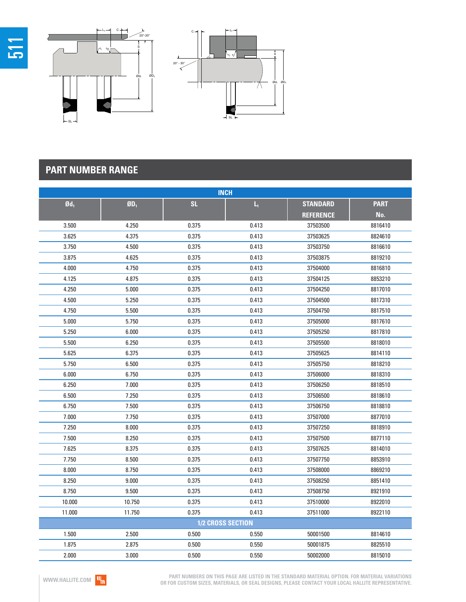

| <b>INCH</b>       |                             |           |                         |                  |             |  |  |  |
|-------------------|-----------------------------|-----------|-------------------------|------------------|-------------|--|--|--|
| $\mathfrak{gd}_1$ | $\mathbf{g}_{\mathbf{D}_1}$ | <b>SL</b> | $\mathsf{L}_\mathsf{I}$ | <b>STANDARD</b>  | <b>PART</b> |  |  |  |
|                   |                             |           |                         | <b>REFERENCE</b> | No.         |  |  |  |
| 3.500             | 4.250                       | 0.375     | 0.413                   | 37503500         | 8816410     |  |  |  |
| 3.625             | 4.375                       | 0.375     | 0.413                   | 37503625         | 8824610     |  |  |  |
| 3.750             | 4.500                       | 0.375     | 0.413                   | 37503750         | 8816610     |  |  |  |
| 3.875             | 4.625                       | 0.375     | 0.413                   | 37503875         | 8819210     |  |  |  |
| 4.000             | 4.750                       | 0.375     | 0.413                   | 37504000         | 8816810     |  |  |  |
| 4.125             | 4.875                       | 0.375     | 0.413                   | 37504125         | 8853210     |  |  |  |
| 4.250             | 5.000                       | 0.375     | 0.413                   | 37504250         | 8817010     |  |  |  |
| 4.500             | 5.250                       | 0.375     | 0.413                   | 37504500         | 8817310     |  |  |  |
| 4.750             | 5.500                       | 0.375     | 0.413                   | 37504750         | 8817510     |  |  |  |
| 5.000             | 5.750                       | 0.375     | 0.413                   | 37505000         | 8817610     |  |  |  |
| 5.250             | 6.000                       | 0.375     | 0.413                   | 37505250         | 8817810     |  |  |  |
| 5.500             | 6.250                       | 0.375     | 0.413                   | 37505500         | 8818010     |  |  |  |
| 5.625             | 6.375                       | 0.375     | 0.413                   | 37505625         | 8814110     |  |  |  |
| 5.750             | 6.500                       | 0.375     | 0.413                   | 37505750         | 8818210     |  |  |  |
| 6.000             | 6.750                       | 0.375     | 0.413                   | 37506000         | 8818310     |  |  |  |
| 6.250             | 7.000                       | 0.375     | 0.413                   | 37506250         | 8818510     |  |  |  |
| 6.500             | 7.250                       | 0.375     | 0.413                   | 37506500         | 8818610     |  |  |  |
| 6.750             | 7.500                       | 0.375     | 0.413                   | 37506750         | 8818810     |  |  |  |
| 7.000             | 7.750                       | 0.375     | 0.413                   | 37507000         | 8877010     |  |  |  |
| 7.250             | 8.000                       | 0.375     | 0.413                   | 37507250         | 8818910     |  |  |  |
| 7.500             | 8.250                       | 0.375     | 0.413                   | 37507500         | 8877110     |  |  |  |
| 7.625             | 8.375                       | 0.375     | 0.413                   | 37507625         | 8814010     |  |  |  |
| 7.750             | 8.500                       | 0.375     | 0.413                   | 37507750         | 8853910     |  |  |  |
| 8.000             | 8.750                       | 0.375     | 0.413                   | 37508000         | 8869210     |  |  |  |
| 8.250             | 9.000                       | 0.375     | 0.413                   | 37508250         | 8851410     |  |  |  |
| 8.750             | 9.500                       | 0.375     | 0.413                   | 37508750         | 8921910     |  |  |  |
| 10.000            | 10.750                      | 0.375     | 0.413                   | 37510000         | 8922010     |  |  |  |
| 11.000            | 11.750                      | 0.375     | 0.413                   | 37511000         | 8922110     |  |  |  |
| 1/2 CROSS SECTION |                             |           |                         |                  |             |  |  |  |
| 1.500             | 2.500                       | 0.500     | 0.550                   | 50001500         | 8814610     |  |  |  |
| 1.875             | 2.875                       | 0.500     | 0.550                   | 50001875         | 8825510     |  |  |  |
| 2.000             | 3.000                       | 0.500     | 0.550                   | 50002000         | 8815010     |  |  |  |